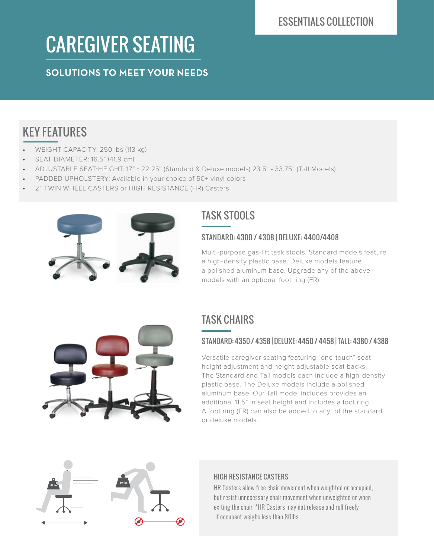# CAREGIVER SEATING

**SOLUTIONS TO MEET YOUR NEEDS**

## KEY FEATURES

- WEIGHT CAPACITY: 250 lbs (113 kg)
- SEAT DIAMETER: 16.5" (41.9 cm)
- ADJUSTABLE SEAT-HEIGHT: 17" 22.25" (Standard & Deluxe models) 23.5" 33.75" (Tall Models)
- PADDED UPHOLSTERY: Available in your choice of 50+ vinyl colors
- 2" TWIN WHEEL CASTERS or HIGH RESISTANCE (HR) Casters



## TASK STOOLS

#### STANDARD: 4300 / 4308 | DELUXE: 4400/4408

Multi-purpose gas-lift task stools. Standard models feature a high-density plastic base. Deluxe models feature a polished aluminum base. Upgrade any of the above models with an optional foot ring (FR).



#### STANDARD: 4350 / 4358 | DELUXE: 4450 / 4458 | TALL: 4380 / 4388

Versatile caregiver seating featuring "one-touch" seat height adjustment and height-adjustable seat backs. The Standard and Tall models each include a high-density plastic base. The Deluxe models include a polished aluminum base. Our Tall model includes provides an additional 11.5" in seat height and includes a foot ring. A foot ring (FR) can also be added to any of the standard or deluxe models.





#### HIGH RESISTANCE CASTERS

HR Casters allow free chair movement when weighted or occupied, but resist unnecessary chair movement when unweighted or when exiting the chair. \*HR Casters may not release and roll freely if occupant weighs less than 80lbs.